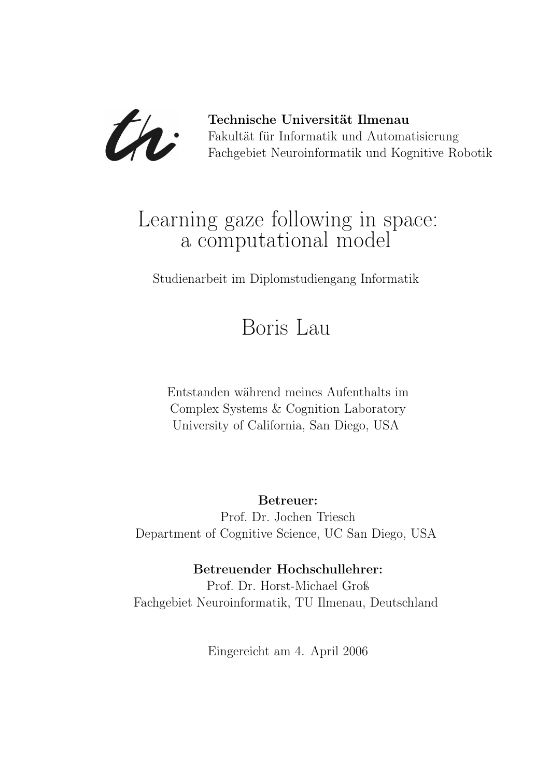

Technische Universität Ilmenau Fakultät für Informatik und Automatisierung Fachgebiet Neuroinformatik und Kognitive Robotik

## Learning gaze following in space: a computational model

Studienarbeit im Diplomstudiengang Informatik

# Boris Lau

Entstanden während meines Aufenthalts im Complex Systems & Cognition Laboratory University of California, San Diego, USA

### Betreuer:

Prof. Dr. Jochen Triesch Department of Cognitive Science, UC San Diego, USA

### Betreuender Hochschullehrer:

Prof. Dr. Horst-Michael Groß Fachgebiet Neuroinformatik, TU Ilmenau, Deutschland

Eingereicht am 4. April 2006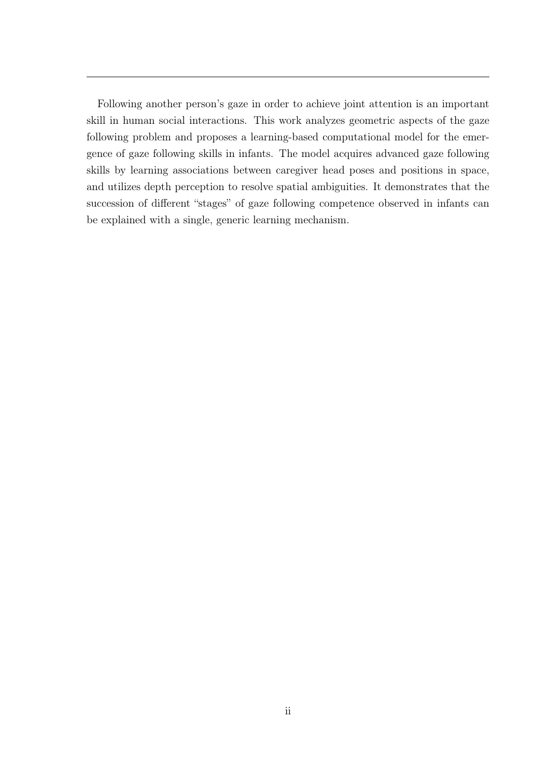Following another person's gaze in order to achieve joint attention is an important skill in human social interactions. This work analyzes geometric aspects of the gaze following problem and proposes a learning-based computational model for the emergence of gaze following skills in infants. The model acquires advanced gaze following skills by learning associations between caregiver head poses and positions in space, and utilizes depth perception to resolve spatial ambiguities. It demonstrates that the succession of different "stages" of gaze following competence observed in infants can be explained with a single, generic learning mechanism.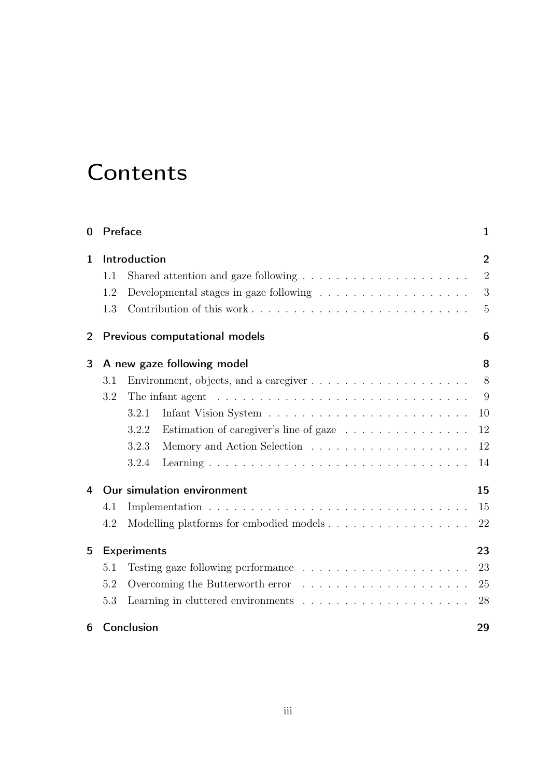# **Contents**

| $\bf{0}$       |                            | Preface<br>1                                                                           |                |  |  |  |
|----------------|----------------------------|----------------------------------------------------------------------------------------|----------------|--|--|--|
| $\mathbf{1}$   | Introduction               |                                                                                        |                |  |  |  |
|                | 1.1                        | Shared attention and gaze following $\ldots \ldots \ldots \ldots \ldots \ldots \ldots$ | $\overline{2}$ |  |  |  |
|                | 1.2                        |                                                                                        | 3              |  |  |  |
|                | 1.3                        |                                                                                        | 5              |  |  |  |
| $\overline{2}$ |                            | Previous computational models<br>6                                                     |                |  |  |  |
| 3              | A new gaze following model |                                                                                        |                |  |  |  |
|                | 3.1                        | Environment, objects, and a caregiver $\dots \dots \dots \dots \dots \dots \dots$      | 8              |  |  |  |
|                | 3.2                        | The infant agent $\dots \dots \dots \dots \dots \dots \dots \dots \dots \dots \dots$   | 9              |  |  |  |
|                |                            | 3.2.1                                                                                  | 10             |  |  |  |
|                |                            | 3.2.2<br>Estimation of caregiver's line of gaze $\ldots \ldots \ldots \ldots$          | 12             |  |  |  |
|                |                            | 3.2.3                                                                                  | 12             |  |  |  |
|                |                            | 3.2.4                                                                                  | 14             |  |  |  |
| 4              |                            | Our simulation environment                                                             | 15             |  |  |  |
|                | 4.1                        |                                                                                        | 15             |  |  |  |
|                | 4.2                        |                                                                                        | 22             |  |  |  |
| 5              | <b>Experiments</b><br>23   |                                                                                        |                |  |  |  |
|                | 5.1                        |                                                                                        | 23             |  |  |  |
|                | 5.2                        | Overcoming the Butterworth error $\dots \dots \dots \dots \dots \dots \dots \dots$     | 25             |  |  |  |
|                | 5.3                        | Learning in cluttered environments $\ldots \ldots \ldots \ldots \ldots \ldots \ldots$  | 28             |  |  |  |
| 6              |                            | Conclusion<br>29                                                                       |                |  |  |  |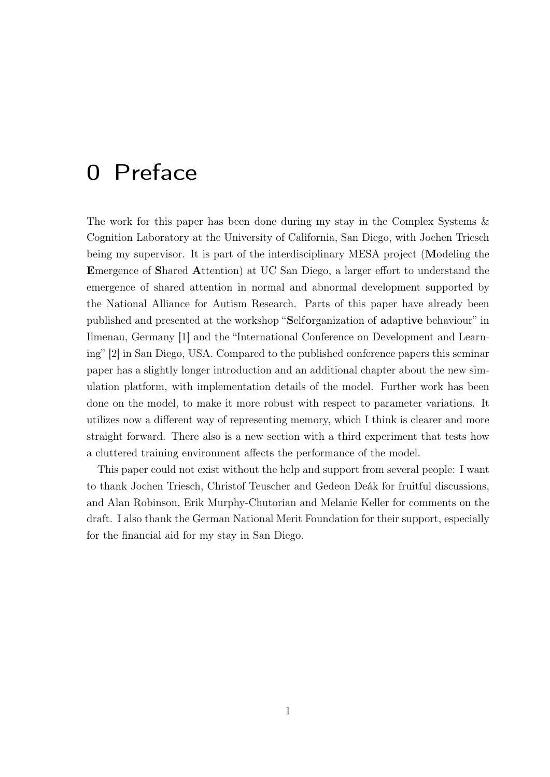## 0 Preface

The work for this paper has been done during my stay in the Complex Systems & Cognition Laboratory at the University of California, San Diego, with Jochen Triesch being my supervisor. It is part of the interdisciplinary MESA project (Modeling the Emergence of Shared Attention) at UC San Diego, a larger effort to understand the emergence of shared attention in normal and abnormal development supported by the National Alliance for Autism Research. Parts of this paper have already been published and presented at the workshop "Selforganization of adaptive behaviour" in Ilmenau, Germany [1] and the "International Conference on Development and Learning" [2] in San Diego, USA. Compared to the published conference papers this seminar paper has a slightly longer introduction and an additional chapter about the new simulation platform, with implementation details of the model. Further work has been done on the model, to make it more robust with respect to parameter variations. It utilizes now a different way of representing memory, which I think is clearer and more straight forward. There also is a new section with a third experiment that tests how a cluttered training environment affects the performance of the model.

This paper could not exist without the help and support from several people: I want to thank Jochen Triesch, Christof Teuscher and Gedeon Deák for fruitful discussions, and Alan Robinson, Erik Murphy-Chutorian and Melanie Keller for comments on the draft. I also thank the German National Merit Foundation for their support, especially for the financial aid for my stay in San Diego.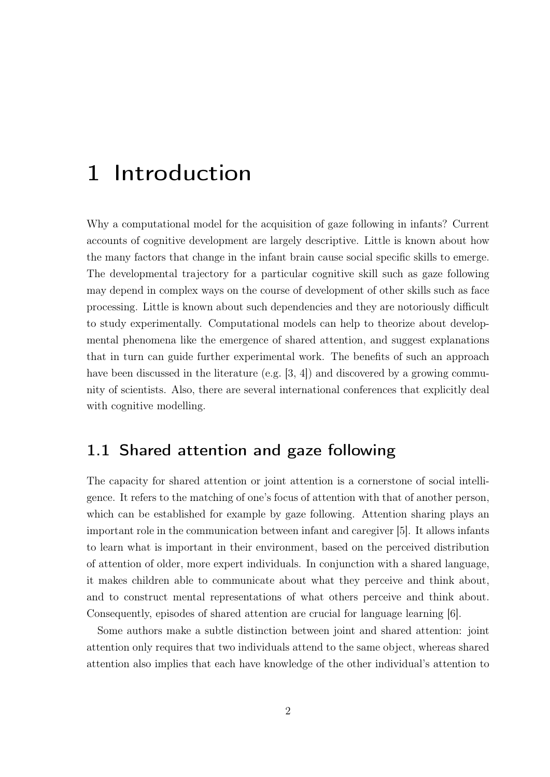## 1 Introduction

Why a computational model for the acquisition of gaze following in infants? Current accounts of cognitive development are largely descriptive. Little is known about how the many factors that change in the infant brain cause social specific skills to emerge. The developmental trajectory for a particular cognitive skill such as gaze following may depend in complex ways on the course of development of other skills such as face processing. Little is known about such dependencies and they are notoriously difficult to study experimentally. Computational models can help to theorize about developmental phenomena like the emergence of shared attention, and suggest explanations that in turn can guide further experimental work. The benefits of such an approach have been discussed in the literature (e.g. [3, 4]) and discovered by a growing community of scientists. Also, there are several international conferences that explicitly deal with cognitive modelling.

## 1.1 Shared attention and gaze following

The capacity for shared attention or joint attention is a cornerstone of social intelligence. It refers to the matching of one's focus of attention with that of another person, which can be established for example by gaze following. Attention sharing plays an important role in the communication between infant and caregiver [5]. It allows infants to learn what is important in their environment, based on the perceived distribution of attention of older, more expert individuals. In conjunction with a shared language, it makes children able to communicate about what they perceive and think about, and to construct mental representations of what others perceive and think about. Consequently, episodes of shared attention are crucial for language learning [6].

Some authors make a subtle distinction between joint and shared attention: joint attention only requires that two individuals attend to the same object, whereas shared attention also implies that each have knowledge of the other individual's attention to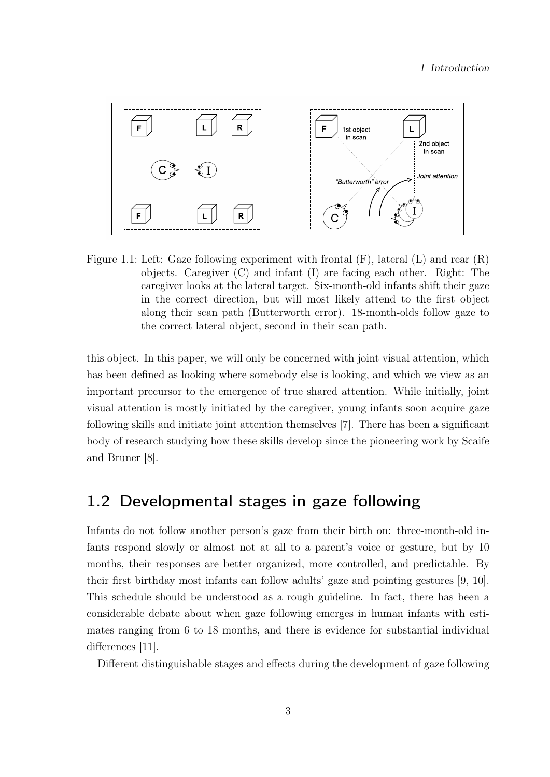

Figure 1.1: Left: Gaze following experiment with frontal  $(F)$ , lateral  $(L)$  and rear  $(R)$ objects. Caregiver (C) and infant (I) are facing each other. Right: The caregiver looks at the lateral target. Six-month-old infants shift their gaze in the correct direction, but will most likely attend to the first object along their scan path (Butterworth error). 18-month-olds follow gaze to the correct lateral object, second in their scan path.

this object. In this paper, we will only be concerned with joint visual attention, which has been defined as looking where somebody else is looking, and which we view as an important precursor to the emergence of true shared attention. While initially, joint visual attention is mostly initiated by the caregiver, young infants soon acquire gaze following skills and initiate joint attention themselves [7]. There has been a significant body of research studying how these skills develop since the pioneering work by Scaife and Bruner [8].

### 1.2 Developmental stages in gaze following

Infants do not follow another person's gaze from their birth on: three-month-old infants respond slowly or almost not at all to a parent's voice or gesture, but by 10 months, their responses are better organized, more controlled, and predictable. By their first birthday most infants can follow adults' gaze and pointing gestures [9, 10]. This schedule should be understood as a rough guideline. In fact, there has been a considerable debate about when gaze following emerges in human infants with estimates ranging from 6 to 18 months, and there is evidence for substantial individual differences [11].

Different distinguishable stages and effects during the development of gaze following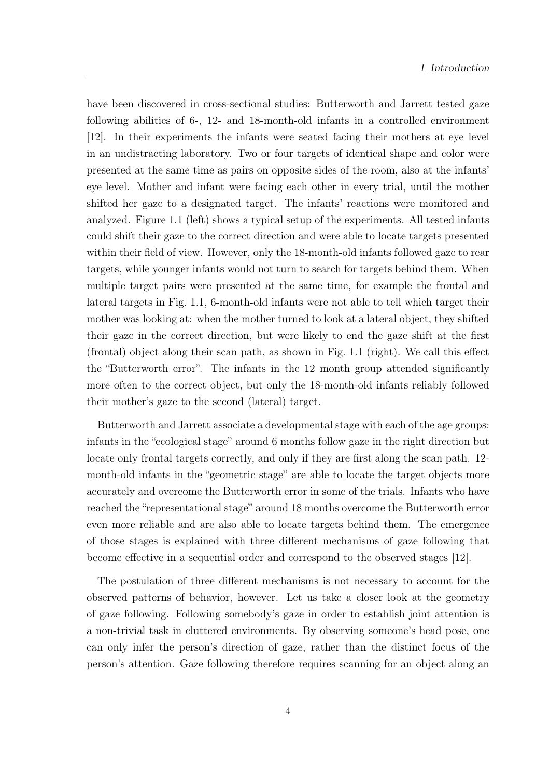have been discovered in cross-sectional studies: Butterworth and Jarrett tested gaze following abilities of 6-, 12- and 18-month-old infants in a controlled environment [12]. In their experiments the infants were seated facing their mothers at eye level in an undistracting laboratory. Two or four targets of identical shape and color were presented at the same time as pairs on opposite sides of the room, also at the infants' eye level. Mother and infant were facing each other in every trial, until the mother shifted her gaze to a designated target. The infants' reactions were monitored and analyzed. Figure 1.1 (left) shows a typical setup of the experiments. All tested infants could shift their gaze to the correct direction and were able to locate targets presented within their field of view. However, only the 18-month-old infants followed gaze to rear targets, while younger infants would not turn to search for targets behind them. When multiple target pairs were presented at the same time, for example the frontal and lateral targets in Fig. 1.1, 6-month-old infants were not able to tell which target their mother was looking at: when the mother turned to look at a lateral object, they shifted their gaze in the correct direction, but were likely to end the gaze shift at the first (frontal) object along their scan path, as shown in Fig. 1.1 (right). We call this effect the "Butterworth error". The infants in the 12 month group attended significantly more often to the correct object, but only the 18-month-old infants reliably followed their mother's gaze to the second (lateral) target.

Butterworth and Jarrett associate a developmental stage with each of the age groups: infants in the "ecological stage" around 6 months follow gaze in the right direction but locate only frontal targets correctly, and only if they are first along the scan path. 12month-old infants in the "geometric stage" are able to locate the target objects more accurately and overcome the Butterworth error in some of the trials. Infants who have reached the "representational stage" around 18 months overcome the Butterworth error even more reliable and are also able to locate targets behind them. The emergence of those stages is explained with three different mechanisms of gaze following that become effective in a sequential order and correspond to the observed stages [12].

The postulation of three different mechanisms is not necessary to account for the observed patterns of behavior, however. Let us take a closer look at the geometry of gaze following. Following somebody's gaze in order to establish joint attention is a non-trivial task in cluttered environments. By observing someone's head pose, one can only infer the person's direction of gaze, rather than the distinct focus of the person's attention. Gaze following therefore requires scanning for an object along an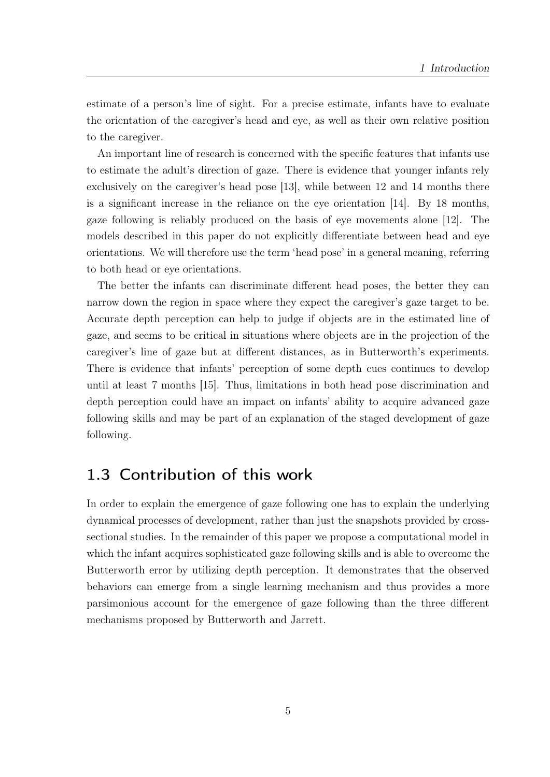estimate of a person's line of sight. For a precise estimate, infants have to evaluate the orientation of the caregiver's head and eye, as well as their own relative position to the caregiver.

An important line of research is concerned with the specific features that infants use to estimate the adult's direction of gaze. There is evidence that younger infants rely exclusively on the caregiver's head pose [13], while between 12 and 14 months there is a significant increase in the reliance on the eye orientation [14]. By 18 months, gaze following is reliably produced on the basis of eye movements alone [12]. The models described in this paper do not explicitly differentiate between head and eye orientations. We will therefore use the term 'head pose' in a general meaning, referring to both head or eye orientations.

The better the infants can discriminate different head poses, the better they can narrow down the region in space where they expect the caregiver's gaze target to be. Accurate depth perception can help to judge if objects are in the estimated line of gaze, and seems to be critical in situations where objects are in the projection of the caregiver's line of gaze but at different distances, as in Butterworth's experiments. There is evidence that infants' perception of some depth cues continues to develop until at least 7 months [15]. Thus, limitations in both head pose discrimination and depth perception could have an impact on infants' ability to acquire advanced gaze following skills and may be part of an explanation of the staged development of gaze following.

## 1.3 Contribution of this work

In order to explain the emergence of gaze following one has to explain the underlying dynamical processes of development, rather than just the snapshots provided by crosssectional studies. In the remainder of this paper we propose a computational model in which the infant acquires sophisticated gaze following skills and is able to overcome the Butterworth error by utilizing depth perception. It demonstrates that the observed behaviors can emerge from a single learning mechanism and thus provides a more parsimonious account for the emergence of gaze following than the three different mechanisms proposed by Butterworth and Jarrett.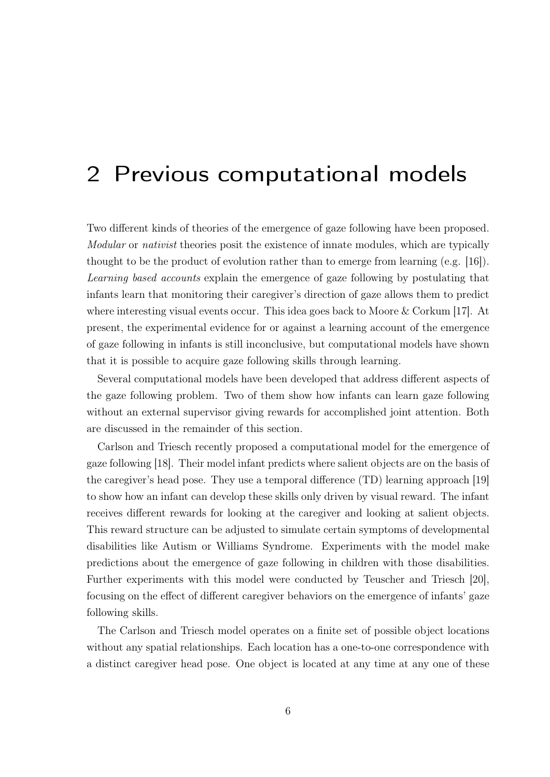## 2 Previous computational models

Two different kinds of theories of the emergence of gaze following have been proposed. Modular or nativist theories posit the existence of innate modules, which are typically thought to be the product of evolution rather than to emerge from learning (e.g. [16]). Learning based accounts explain the emergence of gaze following by postulating that infants learn that monitoring their caregiver's direction of gaze allows them to predict where interesting visual events occur. This idea goes back to Moore & Corkum [17]. At present, the experimental evidence for or against a learning account of the emergence of gaze following in infants is still inconclusive, but computational models have shown that it is possible to acquire gaze following skills through learning.

Several computational models have been developed that address different aspects of the gaze following problem. Two of them show how infants can learn gaze following without an external supervisor giving rewards for accomplished joint attention. Both are discussed in the remainder of this section.

Carlson and Triesch recently proposed a computational model for the emergence of gaze following [18]. Their model infant predicts where salient objects are on the basis of the caregiver's head pose. They use a temporal difference (TD) learning approach [19] to show how an infant can develop these skills only driven by visual reward. The infant receives different rewards for looking at the caregiver and looking at salient objects. This reward structure can be adjusted to simulate certain symptoms of developmental disabilities like Autism or Williams Syndrome. Experiments with the model make predictions about the emergence of gaze following in children with those disabilities. Further experiments with this model were conducted by Teuscher and Triesch [20], focusing on the effect of different caregiver behaviors on the emergence of infants' gaze following skills.

The Carlson and Triesch model operates on a finite set of possible object locations without any spatial relationships. Each location has a one-to-one correspondence with a distinct caregiver head pose. One object is located at any time at any one of these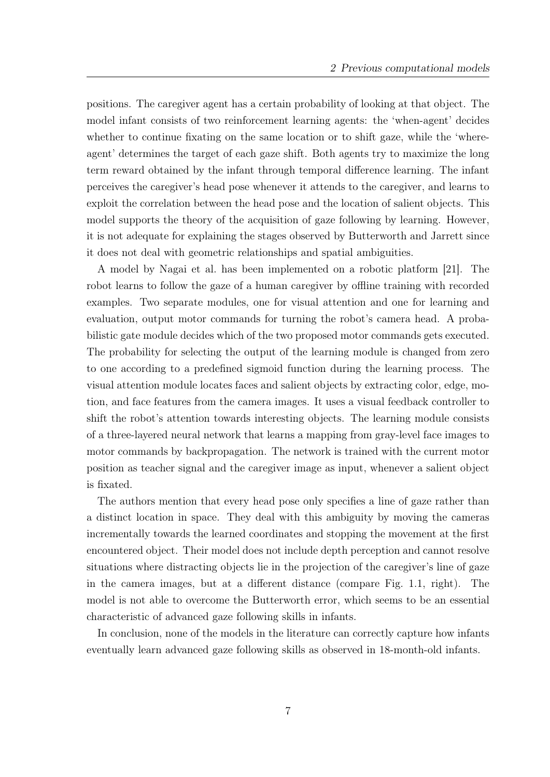positions. The caregiver agent has a certain probability of looking at that object. The model infant consists of two reinforcement learning agents: the 'when-agent' decides whether to continue fixating on the same location or to shift gaze, while the 'whereagent' determines the target of each gaze shift. Both agents try to maximize the long term reward obtained by the infant through temporal difference learning. The infant perceives the caregiver's head pose whenever it attends to the caregiver, and learns to exploit the correlation between the head pose and the location of salient objects. This model supports the theory of the acquisition of gaze following by learning. However, it is not adequate for explaining the stages observed by Butterworth and Jarrett since it does not deal with geometric relationships and spatial ambiguities.

A model by Nagai et al. has been implemented on a robotic platform [21]. The robot learns to follow the gaze of a human caregiver by offline training with recorded examples. Two separate modules, one for visual attention and one for learning and evaluation, output motor commands for turning the robot's camera head. A probabilistic gate module decides which of the two proposed motor commands gets executed. The probability for selecting the output of the learning module is changed from zero to one according to a predefined sigmoid function during the learning process. The visual attention module locates faces and salient objects by extracting color, edge, motion, and face features from the camera images. It uses a visual feedback controller to shift the robot's attention towards interesting objects. The learning module consists of a three-layered neural network that learns a mapping from gray-level face images to motor commands by backpropagation. The network is trained with the current motor position as teacher signal and the caregiver image as input, whenever a salient object is fixated.

The authors mention that every head pose only specifies a line of gaze rather than a distinct location in space. They deal with this ambiguity by moving the cameras incrementally towards the learned coordinates and stopping the movement at the first encountered object. Their model does not include depth perception and cannot resolve situations where distracting objects lie in the projection of the caregiver's line of gaze in the camera images, but at a different distance (compare Fig. 1.1, right). The model is not able to overcome the Butterworth error, which seems to be an essential characteristic of advanced gaze following skills in infants.

In conclusion, none of the models in the literature can correctly capture how infants eventually learn advanced gaze following skills as observed in 18-month-old infants.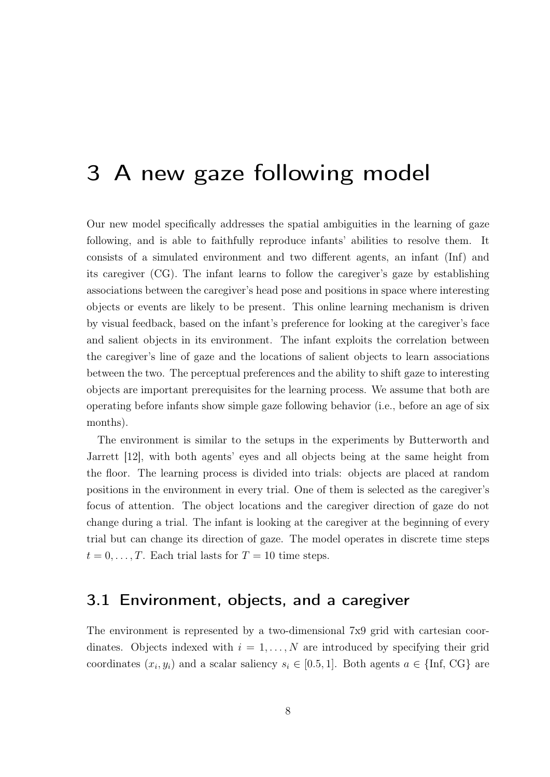## 3 A new gaze following model

Our new model specifically addresses the spatial ambiguities in the learning of gaze following, and is able to faithfully reproduce infants' abilities to resolve them. It consists of a simulated environment and two different agents, an infant (Inf) and its caregiver (CG). The infant learns to follow the caregiver's gaze by establishing associations between the caregiver's head pose and positions in space where interesting objects or events are likely to be present. This online learning mechanism is driven by visual feedback, based on the infant's preference for looking at the caregiver's face and salient objects in its environment. The infant exploits the correlation between the caregiver's line of gaze and the locations of salient objects to learn associations between the two. The perceptual preferences and the ability to shift gaze to interesting objects are important prerequisites for the learning process. We assume that both are operating before infants show simple gaze following behavior (i.e., before an age of six months).

The environment is similar to the setups in the experiments by Butterworth and Jarrett [12], with both agents' eyes and all objects being at the same height from the floor. The learning process is divided into trials: objects are placed at random positions in the environment in every trial. One of them is selected as the caregiver's focus of attention. The object locations and the caregiver direction of gaze do not change during a trial. The infant is looking at the caregiver at the beginning of every trial but can change its direction of gaze. The model operates in discrete time steps  $t = 0, \ldots, T$ . Each trial lasts for  $T = 10$  time steps.

### 3.1 Environment, objects, and a caregiver

The environment is represented by a two-dimensional 7x9 grid with cartesian coordinates. Objects indexed with  $i = 1, \ldots, N$  are introduced by specifying their grid coordinates  $(x_i, y_i)$  and a scalar saliency  $s_i \in [0.5, 1]$ . Both agents  $a \in \{\text{Inf}, \text{CG}\}\$ are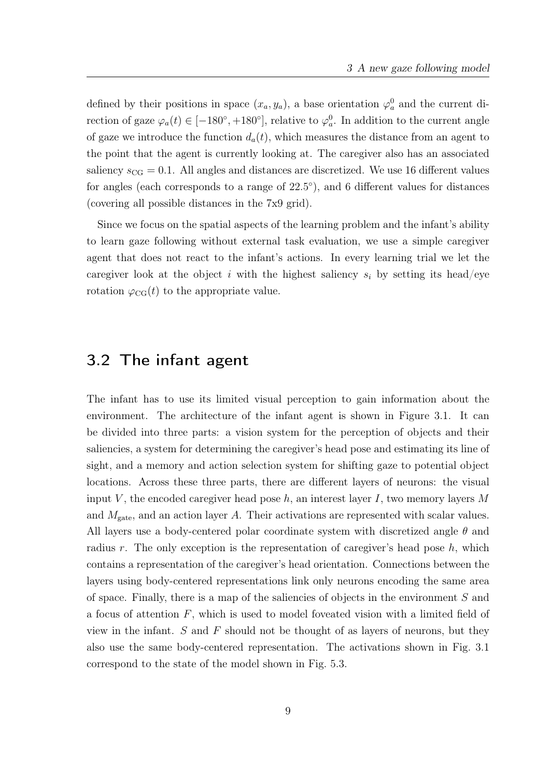defined by their positions in space  $(x_a, y_a)$ , a base orientation  $\varphi_a^0$  and the current direction of gaze  $\varphi_a(t) \in [-180^\circ, +180^\circ]$ , relative to  $\varphi_a^0$ . In addition to the current angle of gaze we introduce the function  $d_a(t)$ , which measures the distance from an agent to the point that the agent is currently looking at. The caregiver also has an associated saliency  $s_{CG} = 0.1$ . All angles and distances are discretized. We use 16 different values for angles (each corresponds to a range of  $22.5^{\circ}$ ), and 6 different values for distances (covering all possible distances in the 7x9 grid).

Since we focus on the spatial aspects of the learning problem and the infant's ability to learn gaze following without external task evaluation, we use a simple caregiver agent that does not react to the infant's actions. In every learning trial we let the caregiver look at the object i with the highest saliency  $s_i$  by setting its head/eye rotation  $\varphi_{CG}(t)$  to the appropriate value.

### 3.2 The infant agent

The infant has to use its limited visual perception to gain information about the environment. The architecture of the infant agent is shown in Figure 3.1. It can be divided into three parts: a vision system for the perception of objects and their saliencies, a system for determining the caregiver's head pose and estimating its line of sight, and a memory and action selection system for shifting gaze to potential object locations. Across these three parts, there are different layers of neurons: the visual input V, the encoded caregiver head pose  $h$ , an interest layer I, two memory layers M and  $M_{\text{gate}}$ , and an action layer A. Their activations are represented with scalar values. All layers use a body-centered polar coordinate system with discretized angle  $\theta$  and radius r. The only exception is the representation of caregiver's head pose  $h$ , which contains a representation of the caregiver's head orientation. Connections between the layers using body-centered representations link only neurons encoding the same area of space. Finally, there is a map of the saliencies of objects in the environment S and a focus of attention F, which is used to model foveated vision with a limited field of view in the infant.  $S$  and  $F$  should not be thought of as layers of neurons, but they also use the same body-centered representation. The activations shown in Fig. 3.1 correspond to the state of the model shown in Fig. 5.3.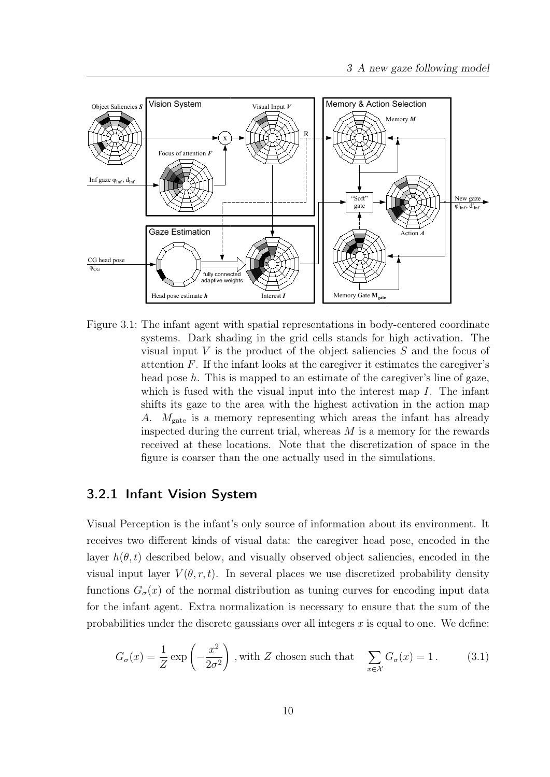

Figure 3.1: The infant agent with spatial representations in body-centered coordinate systems. Dark shading in the grid cells stands for high activation. The visual input V is the product of the object saliencies  $S$  and the focus of attention  $F$ . If the infant looks at the caregiver it estimates the caregiver's head pose  $h$ . This is mapped to an estimate of the caregiver's line of gaze, which is fused with the visual input into the interest map  $I$ . The infant shifts its gaze to the area with the highest activation in the action map A.  $M_{\text{gate}}$  is a memory representing which areas the infant has already inspected during the current trial, whereas  $M$  is a memory for the rewards received at these locations. Note that the discretization of space in the figure is coarser than the one actually used in the simulations.

#### 3.2.1 Infant Vision System

Visual Perception is the infant's only source of information about its environment. It receives two different kinds of visual data: the caregiver head pose, encoded in the layer  $h(\theta, t)$  described below, and visually observed object saliencies, encoded in the visual input layer  $V(\theta, r, t)$ . In several places we use discretized probability density functions  $G_{\sigma}(x)$  of the normal distribution as tuning curves for encoding input data for the infant agent. Extra normalization is necessary to ensure that the sum of the probabilities under the discrete gaussians over all integers  $x$  is equal to one. We define:

$$
G_{\sigma}(x) = \frac{1}{Z} \exp\left(-\frac{x^2}{2\sigma^2}\right)
$$
, with Z chosen such that  $\sum_{x \in \mathcal{X}} G_{\sigma}(x) = 1.$  (3.1)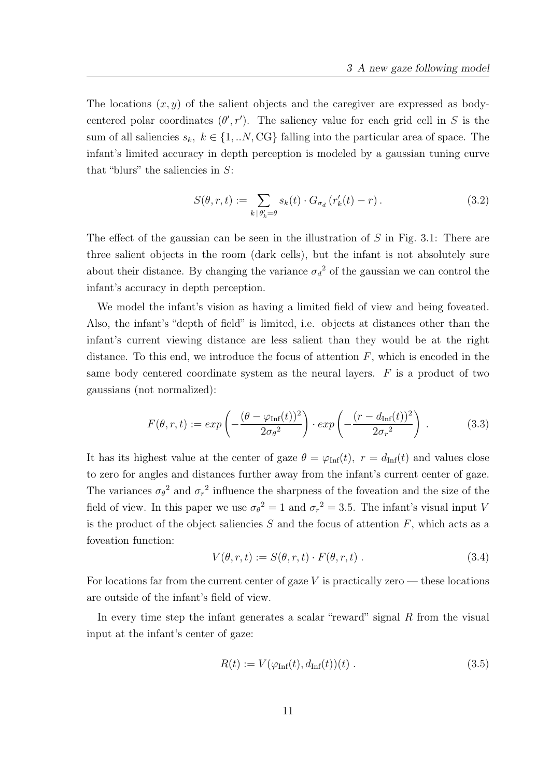The locations  $(x, y)$  of the salient objects and the caregiver are expressed as bodycentered polar coordinates  $(\theta', r')$ . The saliency value for each grid cell in S is the sum of all saliencies  $s_k, k \in \{1,..N,CG\}$  falling into the particular area of space. The infant's limited accuracy in depth perception is modeled by a gaussian tuning curve that "blurs" the saliencies in  $S$ :

$$
S(\theta, r, t) := \sum_{k \mid \theta'_k = \theta} s_k(t) \cdot G_{\sigma_d} \left( r'_k(t) - r \right). \tag{3.2}
$$

The effect of the gaussian can be seen in the illustration of  $S$  in Fig. 3.1: There are three salient objects in the room (dark cells), but the infant is not absolutely sure about their distance. By changing the variance  $\sigma_d^2$  of the gaussian we can control the infant's accuracy in depth perception.

We model the infant's vision as having a limited field of view and being foveated. Also, the infant's "depth of field" is limited, i.e. objects at distances other than the infant's current viewing distance are less salient than they would be at the right distance. To this end, we introduce the focus of attention  $F$ , which is encoded in the same body centered coordinate system as the neural layers.  $F$  is a product of two gaussians (not normalized):

$$
F(\theta, r, t) := exp\left(-\frac{(\theta - \varphi_{\text{Inf}}(t))^2}{2\sigma_\theta^2}\right) \cdot exp\left(-\frac{(r - d_{\text{Inf}}(t))^2}{2\sigma_r^2}\right) \,. \tag{3.3}
$$

It has its highest value at the center of gaze  $\theta = \varphi_{\text{Inf}}(t)$ ,  $r = d_{\text{Inf}}(t)$  and values close to zero for angles and distances further away from the infant's current center of gaze. The variances  $\sigma_{\theta}^2$  and  $\sigma_r^2$  influence the sharpness of the foveation and the size of the field of view. In this paper we use  $\sigma_{\theta}^2 = 1$  and  $\sigma_r^2 = 3.5$ . The infant's visual input V is the product of the object saliencies  $S$  and the focus of attention  $F$ , which acts as a foveation function:

$$
V(\theta, r, t) := S(\theta, r, t) \cdot F(\theta, r, t) . \qquad (3.4)
$$

For locations far from the current center of gaze  $V$  is practically zero — these locations are outside of the infant's field of view.

In every time step the infant generates a scalar "reward" signal R from the visual input at the infant's center of gaze:

$$
R(t) := V(\varphi_{\text{Inf}}(t), d_{\text{Inf}}(t))(t) . \qquad (3.5)
$$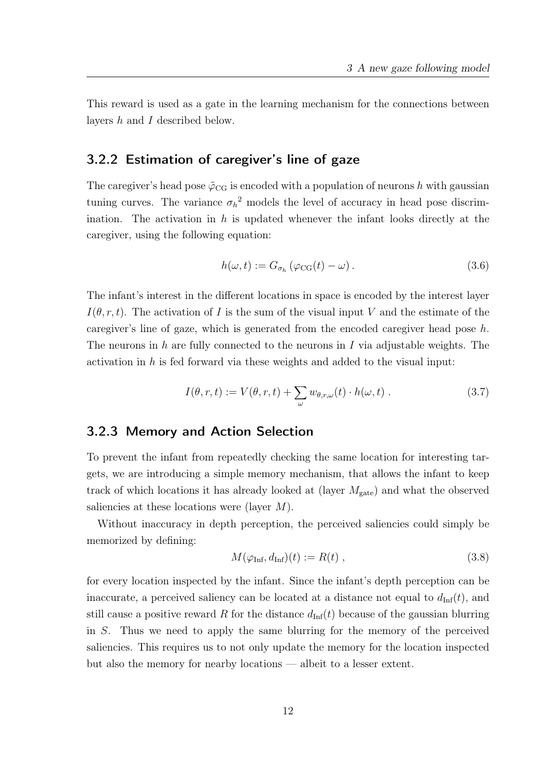This reward is used as a gate in the learning mechanism for the connections between layers h and I described below.

#### 3.2.2 Estimation of caregiver's line of gaze

The caregiver's head pose  $\tilde{\varphi}_{CG}$  is encoded with a population of neurons h with gaussian tuning curves. The variance  $\sigma_h^2$  models the level of accuracy in head pose discrimination. The activation in  $h$  is updated whenever the infant looks directly at the caregiver, using the following equation:

$$
h(\omega, t) := G_{\sigma_h} \left( \varphi_{\text{CG}}(t) - \omega \right). \tag{3.6}
$$

The infant's interest in the different locations in space is encoded by the interest layer  $I(\theta, r, t)$ . The activation of I is the sum of the visual input V and the estimate of the caregiver's line of gaze, which is generated from the encoded caregiver head pose  $h$ . The neurons in h are fully connected to the neurons in  $I$  via adjustable weights. The activation in h is fed forward via these weights and added to the visual input:

$$
I(\theta, r, t) := V(\theta, r, t) + \sum_{\omega} w_{\theta, r, \omega}(t) \cdot h(\omega, t) . \qquad (3.7)
$$

#### 3.2.3 Memory and Action Selection

To prevent the infant from repeatedly checking the same location for interesting targets, we are introducing a simple memory mechanism, that allows the infant to keep track of which locations it has already looked at (layer  $M_{\text{gate}}$ ) and what the observed saliencies at these locations were (layer  $M$ ).

Without inaccuracy in depth perception, the perceived saliencies could simply be memorized by defining:

$$
M(\varphi_{\text{Inf}}, d_{\text{Inf}})(t) := R(t) , \qquad (3.8)
$$

for every location inspected by the infant. Since the infant's depth perception can be inaccurate, a perceived saliency can be located at a distance not equal to  $d_{\text{Inf}}(t)$ , and still cause a positive reward R for the distance  $d_{\text{Inf}}(t)$  because of the gaussian blurring in S. Thus we need to apply the same blurring for the memory of the perceived saliencies. This requires us to not only update the memory for the location inspected but also the memory for nearby locations — albeit to a lesser extent.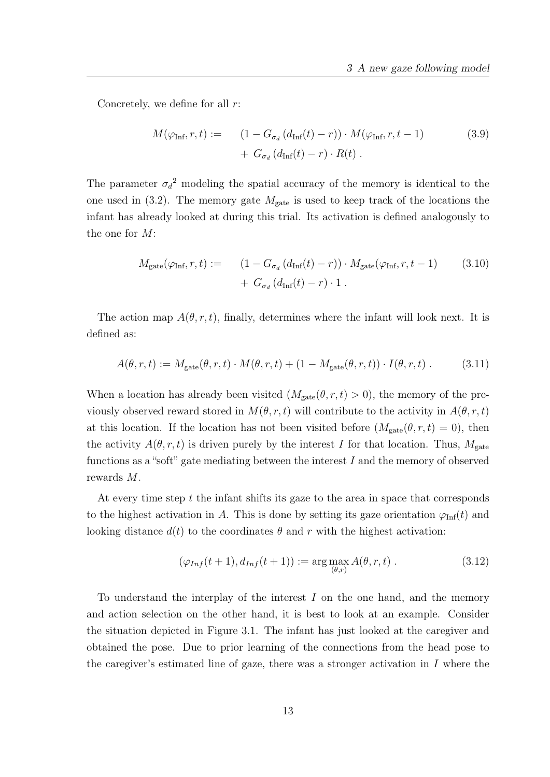Concretely, we define for all  $r$ :

$$
M(\varphi_{\text{Inf}}, r, t) := \left(1 - G_{\sigma_d} \left(d_{\text{Inf}}(t) - r\right)\right) \cdot M(\varphi_{\text{Inf}}, r, t - 1) + G_{\sigma_d} \left(d_{\text{Inf}}(t) - r\right) \cdot R(t) . \tag{3.9}
$$

The parameter  $\sigma_d^2$  modeling the spatial accuracy of the memory is identical to the one used in (3.2). The memory gate  $M_{\text{gate}}$  is used to keep track of the locations the infant has already looked at during this trial. Its activation is defined analogously to the one for M:

$$
M_{\text{gate}}(\varphi_{\text{Inf}}, r, t) := \qquad (1 - G_{\sigma_d} \left( d_{\text{Inf}}(t) - r \right) ) \cdot M_{\text{gate}}(\varphi_{\text{Inf}}, r, t - 1) \qquad (3.10)
$$

$$
+ \ G_{\sigma_d} \left( d_{\text{Inf}}(t) - r \right) \cdot 1 \ .
$$

The action map  $A(\theta, r, t)$ , finally, determines where the infant will look next. It is defined as:

$$
A(\theta, r, t) := M_{\text{gate}}(\theta, r, t) \cdot M(\theta, r, t) + (1 - M_{\text{gate}}(\theta, r, t)) \cdot I(\theta, r, t) \,. \tag{3.11}
$$

When a location has already been visited  $(M_{\text{gate}}(\theta, r, t) > 0)$ , the memory of the previously observed reward stored in  $M(\theta, r, t)$  will contribute to the activity in  $A(\theta, r, t)$ at this location. If the location has not been visited before  $(M_{\text{gate}}(\theta, r, t) = 0)$ , then the activity  $A(\theta, r, t)$  is driven purely by the interest I for that location. Thus,  $M_{\text{gate}}$ functions as a "soft" gate mediating between the interest  $I$  and the memory of observed rewards M.

At every time step  $t$  the infant shifts its gaze to the area in space that corresponds to the highest activation in A. This is done by setting its gaze orientation  $\varphi_{\text{Inf}}(t)$  and looking distance  $d(t)$  to the coordinates  $\theta$  and r with the highest activation:

$$
(\varphi_{Inf}(t+1), d_{Inf}(t+1)) := \arg \max_{(\theta, r)} A(\theta, r, t).
$$
 (3.12)

To understand the interplay of the interest I on the one hand, and the memory and action selection on the other hand, it is best to look at an example. Consider the situation depicted in Figure 3.1. The infant has just looked at the caregiver and obtained the pose. Due to prior learning of the connections from the head pose to the caregiver's estimated line of gaze, there was a stronger activation in  $I$  where the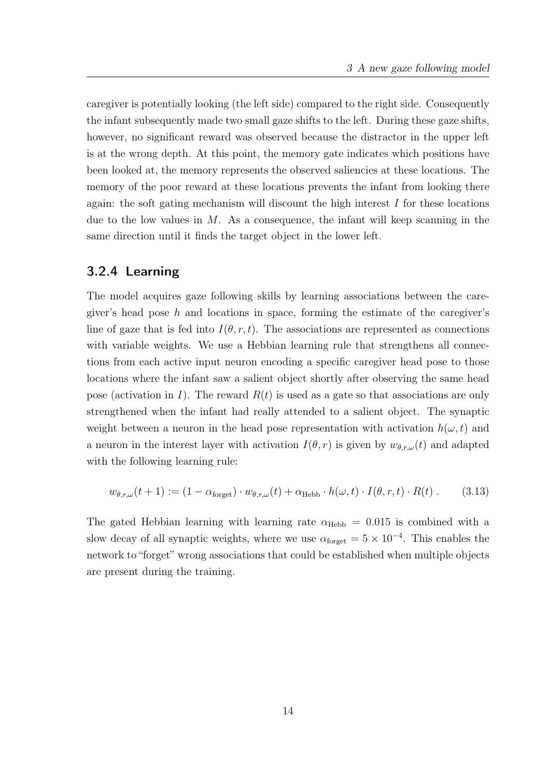caregiver is potentially looking (the left side) compared to the right side. Consequently the infant subsequently made two small gaze shifts to the left. During these gaze shifts, however, no significant reward was observed because the distractor in the upper left is at the wrong depth. At this point, the memory gate indicates which positions have been looked at, the memory represents the observed saliencies at these locations. The memory of the poor reward at these locations prevents the infant from looking there again: the soft gating mechanism will discount the high interest  $I$  for these locations due to the low values in  $M$ . As a consequence, the infant will keep scanning in the same direction until it finds the target object in the lower left.

#### 3.2.4 Learning

The model acquires gaze following skills by learning associations between the caregiver's head pose  $h$  and locations in space, forming the estimate of the caregiver's line of gaze that is fed into  $I(\theta, r, t)$ . The associations are represented as connections with variable weights. We use a Hebbian learning rule that strengthens all connections from each active input neuron encoding a specific caregiver head pose to those locations where the infant saw a salient object shortly after observing the same head pose (activation in I). The reward  $R(t)$  is used as a gate so that associations are only strengthened when the infant had really attended to a salient object. The synaptic weight between a neuron in the head pose representation with activation  $h(\omega, t)$  and a neuron in the interest layer with activation  $I(\theta, r)$  is given by  $w_{\theta, r, \omega}(t)$  and adapted with the following learning rule:

$$
w_{\theta,r,\omega}(t+1) := (1 - \alpha_{\text{forget}}) \cdot w_{\theta,r,\omega}(t) + \alpha_{\text{Hebb}} \cdot h(\omega, t) \cdot I(\theta, r, t) \cdot R(t) \,. \tag{3.13}
$$

The gated Hebbian learning with learning rate  $\alpha_{\text{Hebb}} = 0.015$  is combined with a slow decay of all synaptic weights, where we use  $\alpha_{\text{forget}} = 5 \times 10^{-4}$ . This enables the network to "forget" wrong associations that could be established when multiple objects are present during the training.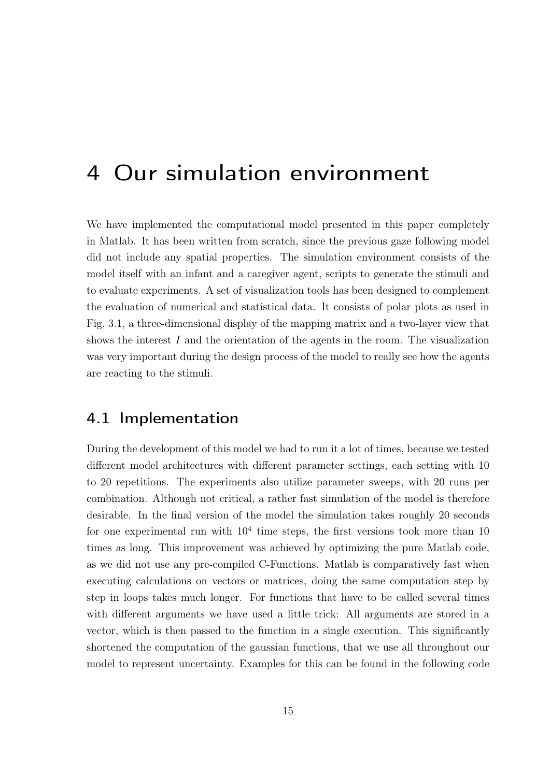## 4 Our simulation environment

We have implemented the computational model presented in this paper completely in Matlab. It has been written from scratch, since the previous gaze following model did not include any spatial properties. The simulation environment consists of the model itself with an infant and a caregiver agent, scripts to generate the stimuli and to evaluate experiments. A set of visualization tools has been designed to complement the evaluation of numerical and statistical data. It consists of polar plots as used in Fig. 3.1, a three-dimensional display of the mapping matrix and a two-layer view that shows the interest  $I$  and the orientation of the agents in the room. The visualization was very important during the design process of the model to really see how the agents are reacting to the stimuli.

### 4.1 Implementation

During the development of this model we had to run it a lot of times, because we tested different model architectures with different parameter settings, each setting with 10 to 20 repetitions. The experiments also utilize parameter sweeps, with 20 runs per combination. Although not critical, a rather fast simulation of the model is therefore desirable. In the final version of the model the simulation takes roughly 20 seconds for one experimental run with  $10^4$  time steps, the first versions took more than 10 times as long. This improvement was achieved by optimizing the pure Matlab code, as we did not use any pre-compiled C-Functions. Matlab is comparatively fast when executing calculations on vectors or matrices, doing the same computation step by step in loops takes much longer. For functions that have to be called several times with different arguments we have used a little trick: All arguments are stored in a vector, which is then passed to the function in a single execution. This significantly shortened the computation of the gaussian functions, that we use all throughout our model to represent uncertainty. Examples for this can be found in the following code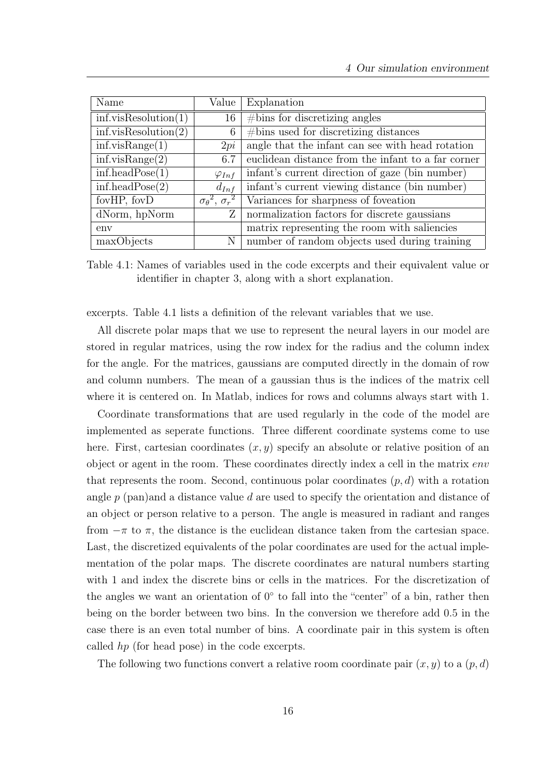| Name                     | Value                                        | Explanation                                        |  |  |  |
|--------------------------|----------------------------------------------|----------------------------------------------------|--|--|--|
| inf. visResolution(1)    | 16                                           | $\# \text{bins}$ for discretizing angles           |  |  |  |
| inf. visResolution(2)    | 6                                            | $# \text{bins}$ used for discretizing distances    |  |  |  |
| inf.y isRange(1)         | 2pi                                          | angle that the infant can see with head rotation   |  |  |  |
| inf.y isRange(2)         | 6.7                                          | euclidean distance from the infant to a far corner |  |  |  |
| $inf.$ head $Pose(1)$    | $\varphi_{Inf}$                              | infant's current direction of gaze (bin number)    |  |  |  |
| $inf.\text{headPose}(2)$ | $d_{Inf}$                                    | infant's current viewing distance (bin number)     |  |  |  |
| fovHP, fovD              | $\overline{\sigma_{\theta}^2, \sigma_{r}^2}$ | Variances for sharpness of foveation               |  |  |  |
| dNorm, hpNorm            | Ζ                                            | normalization factors for discrete gaussians       |  |  |  |
| env                      |                                              | matrix representing the room with saliencies       |  |  |  |
| maxObjects               | N                                            | number of random objects used during training      |  |  |  |

Table 4.1: Names of variables used in the code excerpts and their equivalent value or identifier in chapter 3, along with a short explanation.

excerpts. Table 4.1 lists a definition of the relevant variables that we use.

All discrete polar maps that we use to represent the neural layers in our model are stored in regular matrices, using the row index for the radius and the column index for the angle. For the matrices, gaussians are computed directly in the domain of row and column numbers. The mean of a gaussian thus is the indices of the matrix cell where it is centered on. In Matlab, indices for rows and columns always start with 1.

Coordinate transformations that are used regularly in the code of the model are implemented as seperate functions. Three different coordinate systems come to use here. First, cartesian coordinates  $(x, y)$  specify an absolute or relative position of an object or agent in the room. These coordinates directly index a cell in the matrix env that represents the room. Second, continuous polar coordinates  $(p, d)$  with a rotation angle  $p$  (pan)and a distance value d are used to specify the orientation and distance of an object or person relative to a person. The angle is measured in radiant and ranges from  $-\pi$  to  $\pi$ , the distance is the euclidean distance taken from the cartesian space. Last, the discretized equivalents of the polar coordinates are used for the actual implementation of the polar maps. The discrete coordinates are natural numbers starting with 1 and index the discrete bins or cells in the matrices. For the discretization of the angles we want an orientation of  $0°$  to fall into the "center" of a bin, rather then being on the border between two bins. In the conversion we therefore add 0.5 in the case there is an even total number of bins. A coordinate pair in this system is often called hp (for head pose) in the code excerpts.

The following two functions convert a relative room coordinate pair  $(x, y)$  to a  $(p, d)$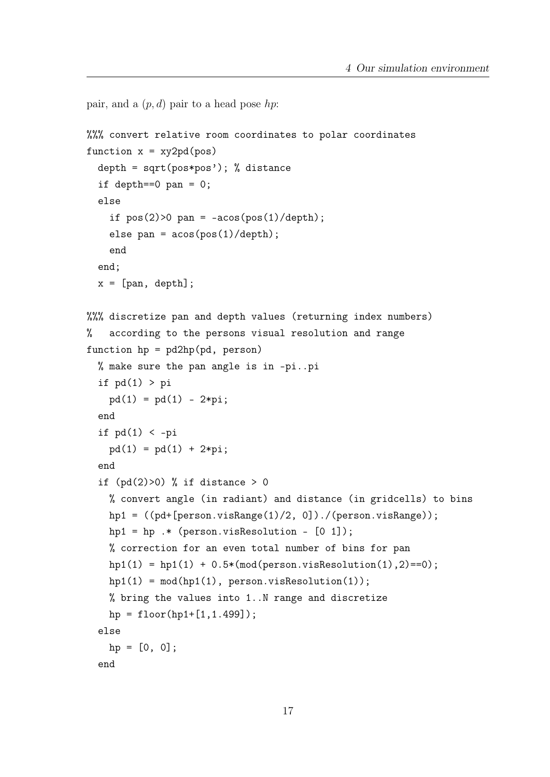```
pair, and a (p, d) pair to a head pose hp:
%%% convert relative room coordinates to polar coordinates
function x = xy2pd(pos)depth = sqrt(pos*pos'); % distanceif depth==0 pan = 0;
 else
    if pos(2)>0 pan = -acos(pos(1)/depth);
    else pan = acos(pos(1)/depth);
    end
 end;
 x = [pan, depth];%%% discretize pan and depth values (returning index numbers)
% according to the persons visual resolution and range
function hp = pd2hp(pd, person)% make sure the pan angle is in -pi..pi
  if pd(1) > pipd(1) = pd(1) - 2*pi;end
 if pd(1) < -pipd(1) = pd(1) + 2*pi;end
  if (pd(2)>0) % if distance > 0
   % convert angle (in radiant) and distance (in gridcells) to bins
   hp1 = ((pd+[person.visRange(1)/2, 0])./(person.visRange));
   hpl = hp.* (person.visResolution - [0 1]);
   % correction for an even total number of bins for pan
   hpl(1) = hpl(1) + 0.5*(mod(person.visResolution(1), 2) == 0);hpl(1) = mod(hpl(1), person.visResolution(1));% bring the values into 1..N range and discretize
   hp = floor(hp1+[1,1.499]);
 else
   hp = [0, 0];end
```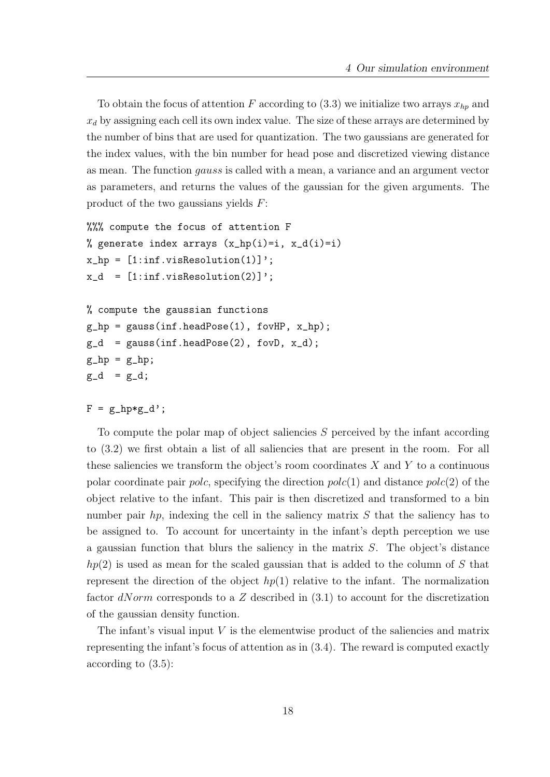To obtain the focus of attention F according to  $(3.3)$  we initialize two arrays  $x_{hp}$  and  $x<sub>d</sub>$  by assigning each cell its own index value. The size of these arrays are determined by the number of bins that are used for quantization. The two gaussians are generated for the index values, with the bin number for head pose and discretized viewing distance as mean. The function gauss is called with a mean, a variance and an argument vector as parameters, and returns the values of the gaussian for the given arguments. The product of the two gaussians yields F:

```
%%% compute the focus of attention F
% generate index arrays (x_hp(i)=i, x_d(i)=i)x_hp = [1:inf.yisResolution(1)];
x_d = [1:inf.yisResolution(2)];
% compute the gaussian functions
g_hp = gauss(inf.headPose(1), fovHP, x_hp);
g_d = gauss(inf.headPose(2), fovD, x_d);
g_h = g_h;
```

```
F = g_h p * g_d';
```
 $g_d = g_d$ ;

To compute the polar map of object saliencies S perceived by the infant according to (3.2) we first obtain a list of all saliencies that are present in the room. For all these saliencies we transform the object's room coordinates  $X$  and  $Y$  to a continuous polar coordinate pair *polc*, specifying the direction  $polc(1)$  and distance  $polc(2)$  of the object relative to the infant. This pair is then discretized and transformed to a bin number pair  $hp$ , indexing the cell in the saliency matrix  $S$  that the saliency has to be assigned to. To account for uncertainty in the infant's depth perception we use a gaussian function that blurs the saliency in the matrix  $S$ . The object's distance  $hp(2)$  is used as mean for the scaled gaussian that is added to the column of S that represent the direction of the object  $hp(1)$  relative to the infant. The normalization factor  $dNorm$  corresponds to a Z described in  $(3.1)$  to account for the discretization of the gaussian density function.

The infant's visual input  $V$  is the elementwise product of the saliencies and matrix representing the infant's focus of attention as in (3.4). The reward is computed exactly according to (3.5):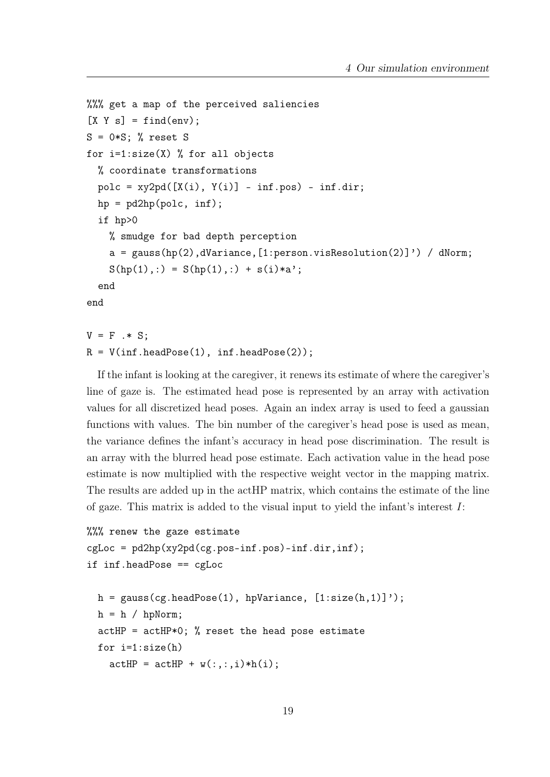```
%%% get a map of the perceived saliencies
[X Y s] = find(env);S = 0*S; % reset S
for i=1:size(X) % for all objects
  % coordinate transformations
 pole = xy2pd([X(i), Y(i)] - inf.pop) - inf.dim;hp = pd2hp(polc, inf);if hp>0
   % smudge for bad depth perception
    a = gauss(hp(2),dVariance,[1:person.visResolution(2)]') / dNorm;
   S(hp(1),:) = S(hp(1),:) + s(i)*a';end
end
```

```
V = F \cdot * S;
R = V(int.headPose(1), inf.headPose(2));
```
If the infant is looking at the caregiver, it renews its estimate of where the caregiver's line of gaze is. The estimated head pose is represented by an array with activation values for all discretized head poses. Again an index array is used to feed a gaussian functions with values. The bin number of the caregiver's head pose is used as mean, the variance defines the infant's accuracy in head pose discrimination. The result is an array with the blurred head pose estimate. Each activation value in the head pose estimate is now multiplied with the respective weight vector in the mapping matrix. The results are added up in the actHP matrix, which contains the estimate of the line of gaze. This matrix is added to the visual input to yield the infant's interest  $I$ :

```
%%% renew the gaze estimate
cgLoc = pd2hp(xy2pd(cg.pos-inf.pos)-inf.dir,inf);if inf.headPose == cgLoc
 h = gauss(cg.headPose(1), hpVariance, [1:size(h,1)]');
 h = h / hpNorm;
 actHP = actHP*0; % reset the head pose estimate
 for i=1:size(h)
    actHP = actHP + w(:,:,i)*h(i);
```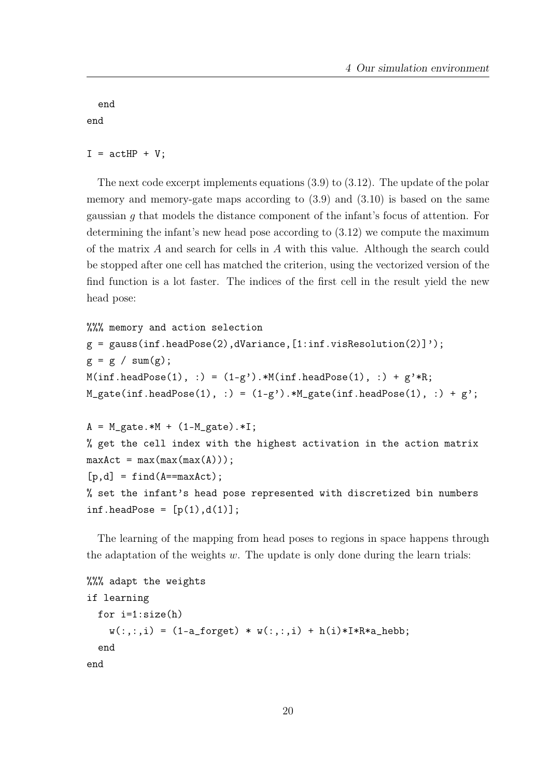end end

 $I = actHP + V;$ 

The next code excerpt implements equations (3.9) to (3.12). The update of the polar memory and memory-gate maps according to (3.9) and (3.10) is based on the same gaussian g that models the distance component of the infant's focus of attention. For determining the infant's new head pose according to (3.12) we compute the maximum of the matrix A and search for cells in A with this value. Although the search could be stopped after one cell has matched the criterion, using the vectorized version of the find function is a lot faster. The indices of the first cell in the result yield the new head pose:

```
%%% memory and action selection
g = gauss(inf.headPose(2),dVariance, [1:inf.visResolution(2)]');
g = g / sum(g);M(int.\nhead\noose(1), :) = (1-g') \cdot M(int.\nhead\noose(1), :) + g' * R;M_gate(int.headPose(1), :) = (1-g<sup>2</sup>) . * M_gate(int.headPose(1), :) + g<sup>2</sup>;A = M_gate.*M + (1-M_gate).*I;% get the cell index with the highest activation in the action matrix
maxAct = max(max(max(A)));
[p,d] = find(A == maxAct);% set the infant's head pose represented with discretized bin numbers
inf.headPose = [p(1),d(1)];
```
The learning of the mapping from head poses to regions in space happens through the adaptation of the weights  $w$ . The update is only done during the learn trials:

```
%%% adapt the weights
if learning
  for i=1:size(h)
    w(:,:,i) = (1-a_f \text{ or get}) * w(:,:,i) + h(i) * I * R * a_h e b b;end
end
```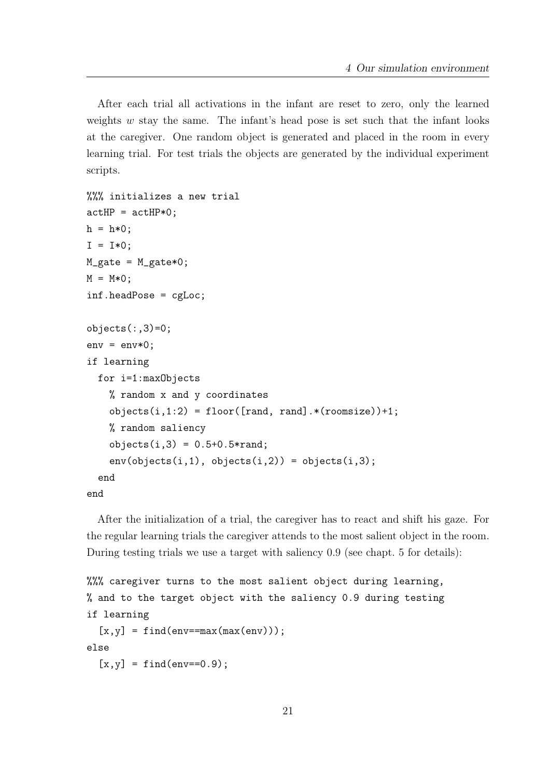After each trial all activations in the infant are reset to zero, only the learned weights  $w$  stay the same. The infant's head pose is set such that the infant looks at the caregiver. One random object is generated and placed in the room in every learning trial. For test trials the objects are generated by the individual experiment scripts.

```
%%% initializes a new trial
actHP = actHP*0;h = h*0;I = I*0;M_gate = M_gate*0;
M = M*0;
inf.headPose = cgLoc;
objects(:,3)=0;env = env*0;if learning
 for i=1:maxObjects
    % random x and y coordinates
    objects(i,1:2) = floor([rand, rand].*(roomsize))+1;% random saliency
    objects(i,3) = 0.5+0.5*rand;env(objects(i,1), objects(i,2)) = objects(i,3);end
end
```
After the initialization of a trial, the caregiver has to react and shift his gaze. For the regular learning trials the caregiver attends to the most salient object in the room. During testing trials we use a target with saliency 0.9 (see chapt. 5 for details):

```
%%% caregiver turns to the most salient object during learning,
% and to the target object with the saliency 0.9 during testing
if learning
  [x,y] = find(env == max(max(env)));
else
  [x, y] = find(env==0.9);
```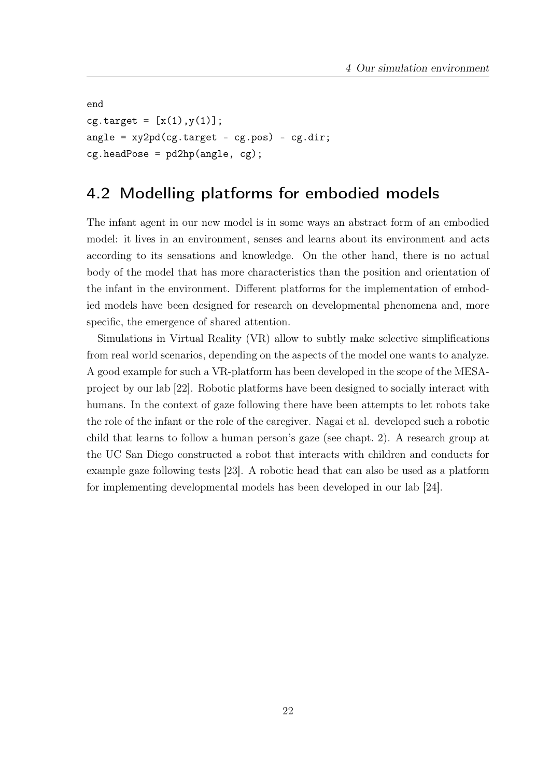```
end
cg.target = [x(1), y(1)];angle = xy2pd(cg.target - cg.pos) - cg.dir;cg.\text{headPose} = \text{pd2hp}(\text{angle}, \text{cg});
```
### 4.2 Modelling platforms for embodied models

The infant agent in our new model is in some ways an abstract form of an embodied model: it lives in an environment, senses and learns about its environment and acts according to its sensations and knowledge. On the other hand, there is no actual body of the model that has more characteristics than the position and orientation of the infant in the environment. Different platforms for the implementation of embodied models have been designed for research on developmental phenomena and, more specific, the emergence of shared attention.

Simulations in Virtual Reality (VR) allow to subtly make selective simplifications from real world scenarios, depending on the aspects of the model one wants to analyze. A good example for such a VR-platform has been developed in the scope of the MESAproject by our lab [22]. Robotic platforms have been designed to socially interact with humans. In the context of gaze following there have been attempts to let robots take the role of the infant or the role of the caregiver. Nagai et al. developed such a robotic child that learns to follow a human person's gaze (see chapt. 2). A research group at the UC San Diego constructed a robot that interacts with children and conducts for example gaze following tests [23]. A robotic head that can also be used as a platform for implementing developmental models has been developed in our lab [24].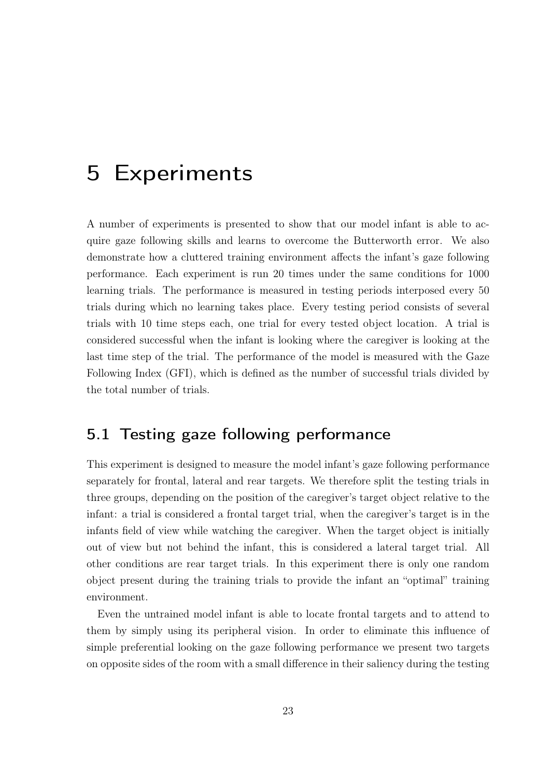## 5 Experiments

A number of experiments is presented to show that our model infant is able to acquire gaze following skills and learns to overcome the Butterworth error. We also demonstrate how a cluttered training environment affects the infant's gaze following performance. Each experiment is run 20 times under the same conditions for 1000 learning trials. The performance is measured in testing periods interposed every 50 trials during which no learning takes place. Every testing period consists of several trials with 10 time steps each, one trial for every tested object location. A trial is considered successful when the infant is looking where the caregiver is looking at the last time step of the trial. The performance of the model is measured with the Gaze Following Index (GFI), which is defined as the number of successful trials divided by the total number of trials.

## 5.1 Testing gaze following performance

This experiment is designed to measure the model infant's gaze following performance separately for frontal, lateral and rear targets. We therefore split the testing trials in three groups, depending on the position of the caregiver's target object relative to the infant: a trial is considered a frontal target trial, when the caregiver's target is in the infants field of view while watching the caregiver. When the target object is initially out of view but not behind the infant, this is considered a lateral target trial. All other conditions are rear target trials. In this experiment there is only one random object present during the training trials to provide the infant an "optimal" training environment.

Even the untrained model infant is able to locate frontal targets and to attend to them by simply using its peripheral vision. In order to eliminate this influence of simple preferential looking on the gaze following performance we present two targets on opposite sides of the room with a small difference in their saliency during the testing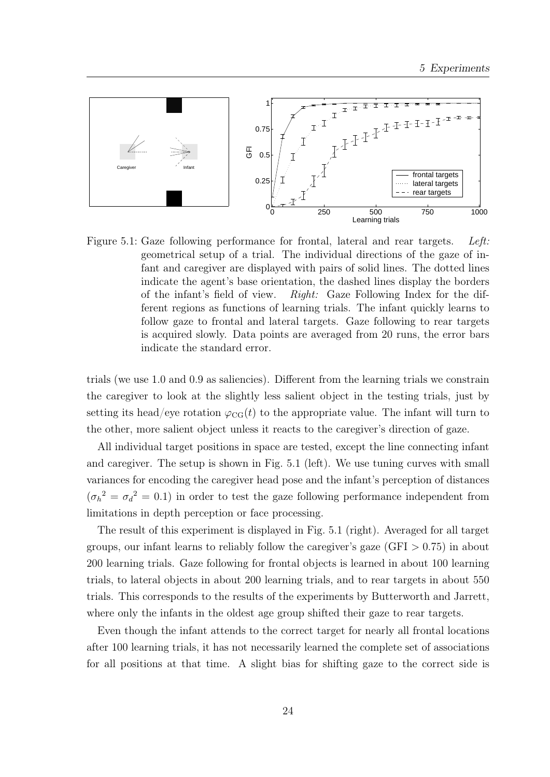

Figure 5.1: Gaze following performance for frontal, lateral and rear targets. Left: geometrical setup of a trial. The individual directions of the gaze of infant and caregiver are displayed with pairs of solid lines. The dotted lines indicate the agent's base orientation, the dashed lines display the borders of the infant's field of view. Right: Gaze Following Index for the different regions as functions of learning trials. The infant quickly learns to follow gaze to frontal and lateral targets. Gaze following to rear targets is acquired slowly. Data points are averaged from 20 runs, the error bars indicate the standard error.

trials (we use 1.0 and 0.9 as saliencies). Different from the learning trials we constrain the caregiver to look at the slightly less salient object in the testing trials, just by setting its head/eye rotation  $\varphi_{CG}(t)$  to the appropriate value. The infant will turn to the other, more salient object unless it reacts to the caregiver's direction of gaze.

All individual target positions in space are tested, except the line connecting infant and caregiver. The setup is shown in Fig. 5.1 (left). We use tuning curves with small variances for encoding the caregiver head pose and the infant's perception of distances  $(\sigma_h^2 = \sigma_d^2 = 0.1)$  in order to test the gaze following performance independent from limitations in depth perception or face processing.

The result of this experiment is displayed in Fig. 5.1 (right). Averaged for all target groups, our infant learns to reliably follow the caregiver's gaze  $(GFI > 0.75)$  in about 200 learning trials. Gaze following for frontal objects is learned in about 100 learning trials, to lateral objects in about 200 learning trials, and to rear targets in about 550 trials. This corresponds to the results of the experiments by Butterworth and Jarrett, where only the infants in the oldest age group shifted their gaze to rear targets.

Even though the infant attends to the correct target for nearly all frontal locations after 100 learning trials, it has not necessarily learned the complete set of associations for all positions at that time. A slight bias for shifting gaze to the correct side is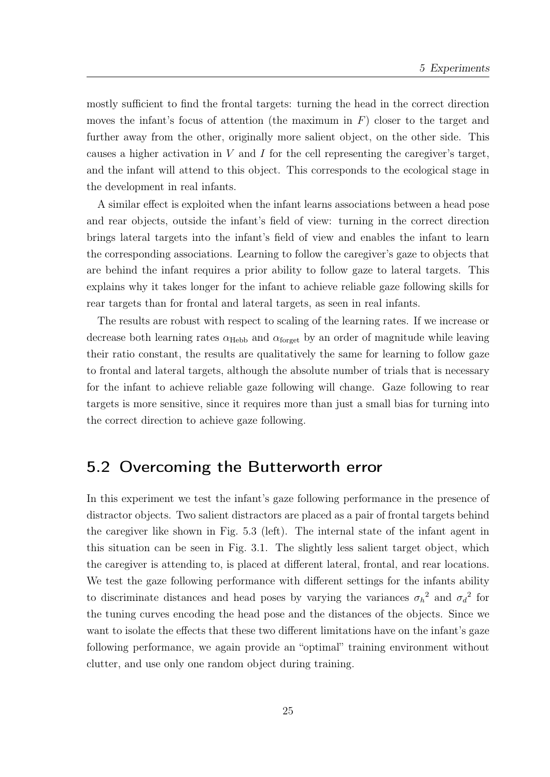mostly sufficient to find the frontal targets: turning the head in the correct direction moves the infant's focus of attention (the maximum in  $F$ ) closer to the target and further away from the other, originally more salient object, on the other side. This causes a higher activation in  $V$  and  $I$  for the cell representing the caregiver's target, and the infant will attend to this object. This corresponds to the ecological stage in the development in real infants.

A similar effect is exploited when the infant learns associations between a head pose and rear objects, outside the infant's field of view: turning in the correct direction brings lateral targets into the infant's field of view and enables the infant to learn the corresponding associations. Learning to follow the caregiver's gaze to objects that are behind the infant requires a prior ability to follow gaze to lateral targets. This explains why it takes longer for the infant to achieve reliable gaze following skills for rear targets than for frontal and lateral targets, as seen in real infants.

The results are robust with respect to scaling of the learning rates. If we increase or decrease both learning rates  $\alpha_{\text{Hebb}}$  and  $\alpha_{\text{forget}}$  by an order of magnitude while leaving their ratio constant, the results are qualitatively the same for learning to follow gaze to frontal and lateral targets, although the absolute number of trials that is necessary for the infant to achieve reliable gaze following will change. Gaze following to rear targets is more sensitive, since it requires more than just a small bias for turning into the correct direction to achieve gaze following.

### 5.2 Overcoming the Butterworth error

In this experiment we test the infant's gaze following performance in the presence of distractor objects. Two salient distractors are placed as a pair of frontal targets behind the caregiver like shown in Fig. 5.3 (left). The internal state of the infant agent in this situation can be seen in Fig. 3.1. The slightly less salient target object, which the caregiver is attending to, is placed at different lateral, frontal, and rear locations. We test the gaze following performance with different settings for the infants ability to discriminate distances and head poses by varying the variances  $\sigma_h^2$  and  $\sigma_d^2$  for the tuning curves encoding the head pose and the distances of the objects. Since we want to isolate the effects that these two different limitations have on the infant's gaze following performance, we again provide an "optimal" training environment without clutter, and use only one random object during training.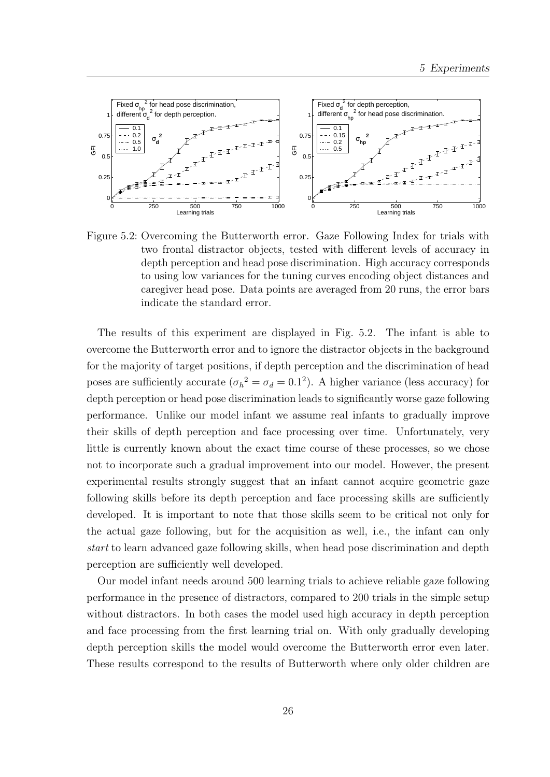

Figure 5.2: Overcoming the Butterworth error. Gaze Following Index for trials with two frontal distractor objects, tested with different levels of accuracy in depth perception and head pose discrimination. High accuracy corresponds to using low variances for the tuning curves encoding object distances and caregiver head pose. Data points are averaged from 20 runs, the error bars indicate the standard error.

The results of this experiment are displayed in Fig. 5.2. The infant is able to overcome the Butterworth error and to ignore the distractor objects in the background for the majority of target positions, if depth perception and the discrimination of head poses are sufficiently accurate  $(\sigma_h^2 = \sigma_d = 0.1^2)$ . A higher variance (less accuracy) for depth perception or head pose discrimination leads to significantly worse gaze following performance. Unlike our model infant we assume real infants to gradually improve their skills of depth perception and face processing over time. Unfortunately, very little is currently known about the exact time course of these processes, so we chose not to incorporate such a gradual improvement into our model. However, the present experimental results strongly suggest that an infant cannot acquire geometric gaze following skills before its depth perception and face processing skills are sufficiently developed. It is important to note that those skills seem to be critical not only for the actual gaze following, but for the acquisition as well, i.e., the infant can only start to learn advanced gaze following skills, when head pose discrimination and depth perception are sufficiently well developed.

Our model infant needs around 500 learning trials to achieve reliable gaze following performance in the presence of distractors, compared to 200 trials in the simple setup without distractors. In both cases the model used high accuracy in depth perception and face processing from the first learning trial on. With only gradually developing depth perception skills the model would overcome the Butterworth error even later. These results correspond to the results of Butterworth where only older children are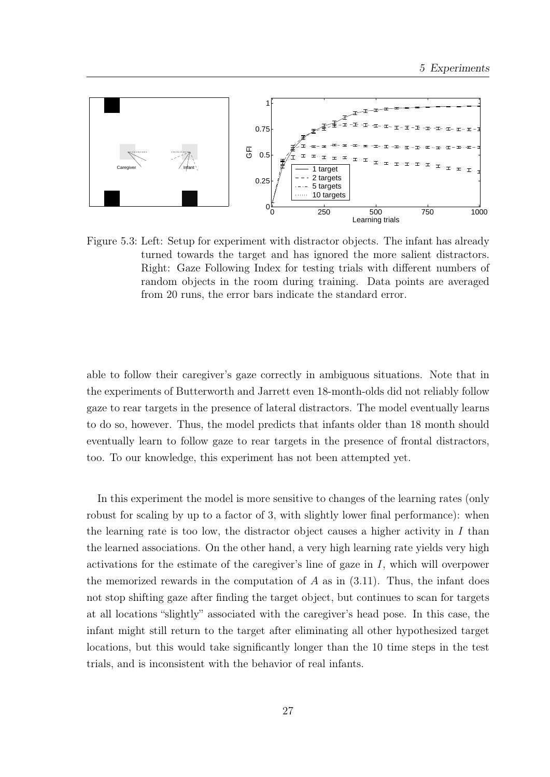

Figure 5.3: Left: Setup for experiment with distractor objects. The infant has already turned towards the target and has ignored the more salient distractors. Right: Gaze Following Index for testing trials with different numbers of random objects in the room during training. Data points are averaged from 20 runs, the error bars indicate the standard error.

able to follow their caregiver's gaze correctly in ambiguous situations. Note that in the experiments of Butterworth and Jarrett even 18-month-olds did not reliably follow gaze to rear targets in the presence of lateral distractors. The model eventually learns to do so, however. Thus, the model predicts that infants older than 18 month should eventually learn to follow gaze to rear targets in the presence of frontal distractors, too. To our knowledge, this experiment has not been attempted yet.

In this experiment the model is more sensitive to changes of the learning rates (only robust for scaling by up to a factor of 3, with slightly lower final performance): when the learning rate is too low, the distractor object causes a higher activity in  $I$  than the learned associations. On the other hand, a very high learning rate yields very high activations for the estimate of the caregiver's line of gaze in  $I$ , which will overpower the memorized rewards in the computation of  $A$  as in  $(3.11)$ . Thus, the infant does not stop shifting gaze after finding the target object, but continues to scan for targets at all locations "slightly" associated with the caregiver's head pose. In this case, the infant might still return to the target after eliminating all other hypothesized target locations, but this would take significantly longer than the 10 time steps in the test trials, and is inconsistent with the behavior of real infants.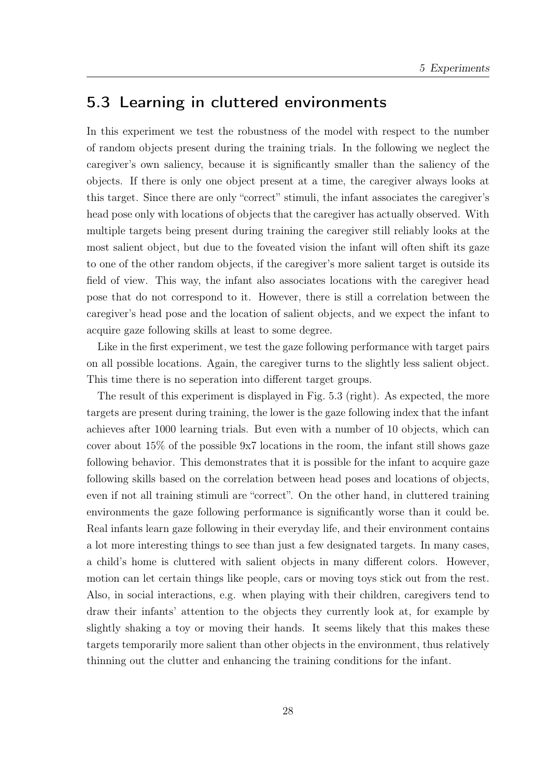### 5.3 Learning in cluttered environments

In this experiment we test the robustness of the model with respect to the number of random objects present during the training trials. In the following we neglect the caregiver's own saliency, because it is significantly smaller than the saliency of the objects. If there is only one object present at a time, the caregiver always looks at this target. Since there are only "correct" stimuli, the infant associates the caregiver's head pose only with locations of objects that the caregiver has actually observed. With multiple targets being present during training the caregiver still reliably looks at the most salient object, but due to the foveated vision the infant will often shift its gaze to one of the other random objects, if the caregiver's more salient target is outside its field of view. This way, the infant also associates locations with the caregiver head pose that do not correspond to it. However, there is still a correlation between the caregiver's head pose and the location of salient objects, and we expect the infant to acquire gaze following skills at least to some degree.

Like in the first experiment, we test the gaze following performance with target pairs on all possible locations. Again, the caregiver turns to the slightly less salient object. This time there is no seperation into different target groups.

The result of this experiment is displayed in Fig. 5.3 (right). As expected, the more targets are present during training, the lower is the gaze following index that the infant achieves after 1000 learning trials. But even with a number of 10 objects, which can cover about 15% of the possible 9x7 locations in the room, the infant still shows gaze following behavior. This demonstrates that it is possible for the infant to acquire gaze following skills based on the correlation between head poses and locations of objects, even if not all training stimuli are "correct". On the other hand, in cluttered training environments the gaze following performance is significantly worse than it could be. Real infants learn gaze following in their everyday life, and their environment contains a lot more interesting things to see than just a few designated targets. In many cases, a child's home is cluttered with salient objects in many different colors. However, motion can let certain things like people, cars or moving toys stick out from the rest. Also, in social interactions, e.g. when playing with their children, caregivers tend to draw their infants' attention to the objects they currently look at, for example by slightly shaking a toy or moving their hands. It seems likely that this makes these targets temporarily more salient than other objects in the environment, thus relatively thinning out the clutter and enhancing the training conditions for the infant.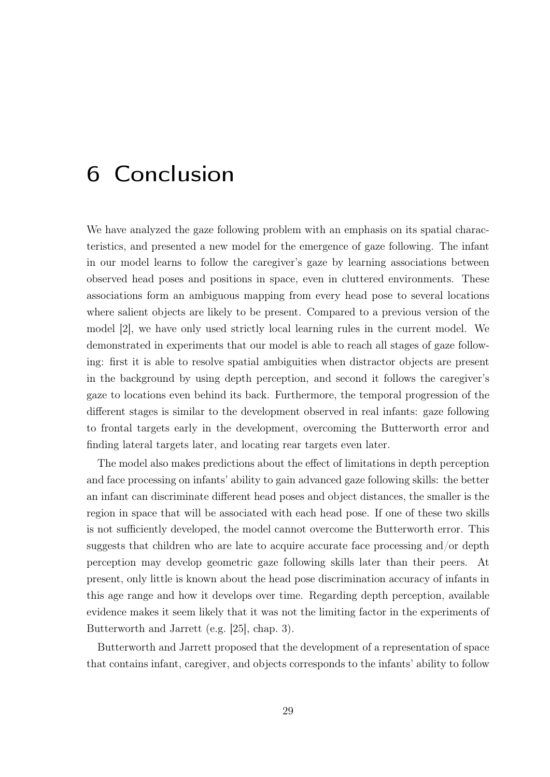## 6 Conclusion

We have analyzed the gaze following problem with an emphasis on its spatial characteristics, and presented a new model for the emergence of gaze following. The infant in our model learns to follow the caregiver's gaze by learning associations between observed head poses and positions in space, even in cluttered environments. These associations form an ambiguous mapping from every head pose to several locations where salient objects are likely to be present. Compared to a previous version of the model [2], we have only used strictly local learning rules in the current model. We demonstrated in experiments that our model is able to reach all stages of gaze following: first it is able to resolve spatial ambiguities when distractor objects are present in the background by using depth perception, and second it follows the caregiver's gaze to locations even behind its back. Furthermore, the temporal progression of the different stages is similar to the development observed in real infants: gaze following to frontal targets early in the development, overcoming the Butterworth error and finding lateral targets later, and locating rear targets even later.

The model also makes predictions about the effect of limitations in depth perception and face processing on infants' ability to gain advanced gaze following skills: the better an infant can discriminate different head poses and object distances, the smaller is the region in space that will be associated with each head pose. If one of these two skills is not sufficiently developed, the model cannot overcome the Butterworth error. This suggests that children who are late to acquire accurate face processing and/or depth perception may develop geometric gaze following skills later than their peers. At present, only little is known about the head pose discrimination accuracy of infants in this age range and how it develops over time. Regarding depth perception, available evidence makes it seem likely that it was not the limiting factor in the experiments of Butterworth and Jarrett (e.g. [25], chap. 3).

Butterworth and Jarrett proposed that the development of a representation of space that contains infant, caregiver, and objects corresponds to the infants' ability to follow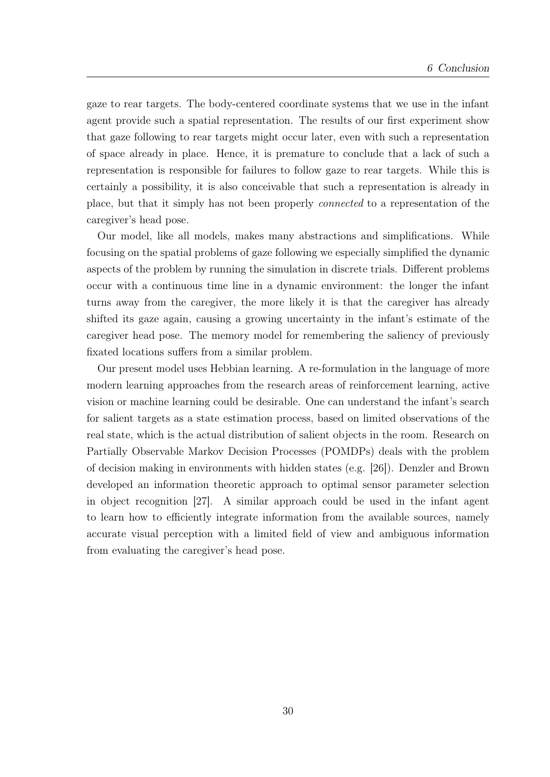gaze to rear targets. The body-centered coordinate systems that we use in the infant agent provide such a spatial representation. The results of our first experiment show that gaze following to rear targets might occur later, even with such a representation of space already in place. Hence, it is premature to conclude that a lack of such a representation is responsible for failures to follow gaze to rear targets. While this is certainly a possibility, it is also conceivable that such a representation is already in place, but that it simply has not been properly connected to a representation of the caregiver's head pose.

Our model, like all models, makes many abstractions and simplifications. While focusing on the spatial problems of gaze following we especially simplified the dynamic aspects of the problem by running the simulation in discrete trials. Different problems occur with a continuous time line in a dynamic environment: the longer the infant turns away from the caregiver, the more likely it is that the caregiver has already shifted its gaze again, causing a growing uncertainty in the infant's estimate of the caregiver head pose. The memory model for remembering the saliency of previously fixated locations suffers from a similar problem.

Our present model uses Hebbian learning. A re-formulation in the language of more modern learning approaches from the research areas of reinforcement learning, active vision or machine learning could be desirable. One can understand the infant's search for salient targets as a state estimation process, based on limited observations of the real state, which is the actual distribution of salient objects in the room. Research on Partially Observable Markov Decision Processes (POMDPs) deals with the problem of decision making in environments with hidden states (e.g. [26]). Denzler and Brown developed an information theoretic approach to optimal sensor parameter selection in object recognition [27]. A similar approach could be used in the infant agent to learn how to efficiently integrate information from the available sources, namely accurate visual perception with a limited field of view and ambiguous information from evaluating the caregiver's head pose.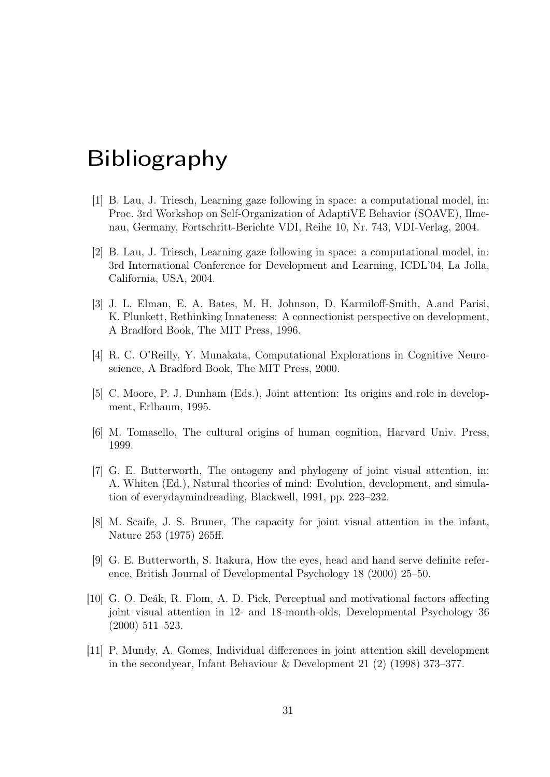## Bibliography

- [1] B. Lau, J. Triesch, Learning gaze following in space: a computational model, in: Proc. 3rd Workshop on Self-Organization of AdaptiVE Behavior (SOAVE), Ilmenau, Germany, Fortschritt-Berichte VDI, Reihe 10, Nr. 743, VDI-Verlag, 2004.
- [2] B. Lau, J. Triesch, Learning gaze following in space: a computational model, in: 3rd International Conference for Development and Learning, ICDL'04, La Jolla, California, USA, 2004.
- [3] J. L. Elman, E. A. Bates, M. H. Johnson, D. Karmiloff-Smith, A.and Parisi, K. Plunkett, Rethinking Innateness: A connectionist perspective on development, A Bradford Book, The MIT Press, 1996.
- [4] R. C. O'Reilly, Y. Munakata, Computational Explorations in Cognitive Neuroscience, A Bradford Book, The MIT Press, 2000.
- [5] C. Moore, P. J. Dunham (Eds.), Joint attention: Its origins and role in development, Erlbaum, 1995.
- [6] M. Tomasello, The cultural origins of human cognition, Harvard Univ. Press, 1999.
- [7] G. E. Butterworth, The ontogeny and phylogeny of joint visual attention, in: A. Whiten (Ed.), Natural theories of mind: Evolution, development, and simulation of everydaymindreading, Blackwell, 1991, pp. 223–232.
- [8] M. Scaife, J. S. Bruner, The capacity for joint visual attention in the infant, Nature 253 (1975) 265ff.
- [9] G. E. Butterworth, S. Itakura, How the eyes, head and hand serve definite reference, British Journal of Developmental Psychology 18 (2000) 25–50.
- [10] G. O. Deák, R. Flom, A. D. Pick, Perceptual and motivational factors affecting joint visual attention in 12- and 18-month-olds, Developmental Psychology 36 (2000) 511–523.
- [11] P. Mundy, A. Gomes, Individual differences in joint attention skill development in the secondyear, Infant Behaviour & Development 21 (2) (1998) 373–377.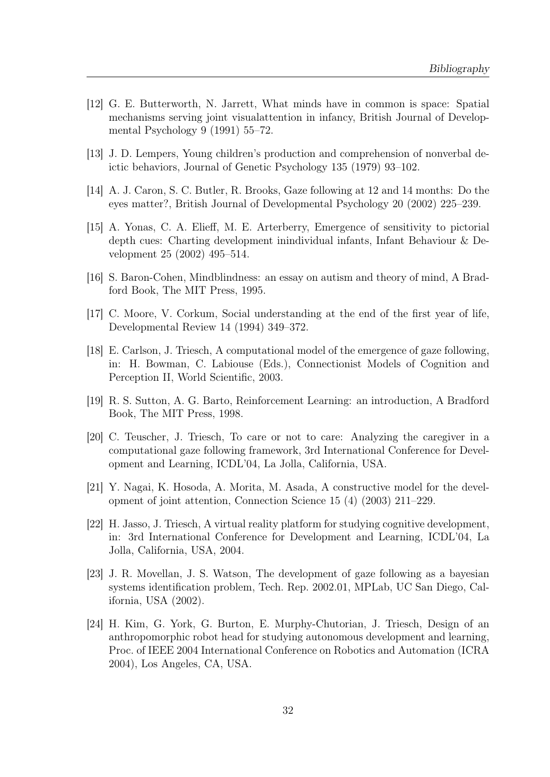- [12] G. E. Butterworth, N. Jarrett, What minds have in common is space: Spatial mechanisms serving joint visualattention in infancy, British Journal of Developmental Psychology 9 (1991) 55–72.
- [13] J. D. Lempers, Young children's production and comprehension of nonverbal deictic behaviors, Journal of Genetic Psychology 135 (1979) 93–102.
- [14] A. J. Caron, S. C. Butler, R. Brooks, Gaze following at 12 and 14 months: Do the eyes matter?, British Journal of Developmental Psychology 20 (2002) 225–239.
- [15] A. Yonas, C. A. Elieff, M. E. Arterberry, Emergence of sensitivity to pictorial depth cues: Charting development inindividual infants, Infant Behaviour & Development 25 (2002) 495–514.
- [16] S. Baron-Cohen, Mindblindness: an essay on autism and theory of mind, A Bradford Book, The MIT Press, 1995.
- [17] C. Moore, V. Corkum, Social understanding at the end of the first year of life, Developmental Review 14 (1994) 349–372.
- [18] E. Carlson, J. Triesch, A computational model of the emergence of gaze following, in: H. Bowman, C. Labiouse (Eds.), Connectionist Models of Cognition and Perception II, World Scientific, 2003.
- [19] R. S. Sutton, A. G. Barto, Reinforcement Learning: an introduction, A Bradford Book, The MIT Press, 1998.
- [20] C. Teuscher, J. Triesch, To care or not to care: Analyzing the caregiver in a computational gaze following framework, 3rd International Conference for Development and Learning, ICDL'04, La Jolla, California, USA.
- [21] Y. Nagai, K. Hosoda, A. Morita, M. Asada, A constructive model for the development of joint attention, Connection Science 15 (4) (2003) 211–229.
- [22] H. Jasso, J. Triesch, A virtual reality platform for studying cognitive development, in: 3rd International Conference for Development and Learning, ICDL'04, La Jolla, California, USA, 2004.
- [23] J. R. Movellan, J. S. Watson, The development of gaze following as a bayesian systems identification problem, Tech. Rep. 2002.01, MPLab, UC San Diego, California, USA (2002).
- [24] H. Kim, G. York, G. Burton, E. Murphy-Chutorian, J. Triesch, Design of an anthropomorphic robot head for studying autonomous development and learning, Proc. of IEEE 2004 International Conference on Robotics and Automation (ICRA 2004), Los Angeles, CA, USA.